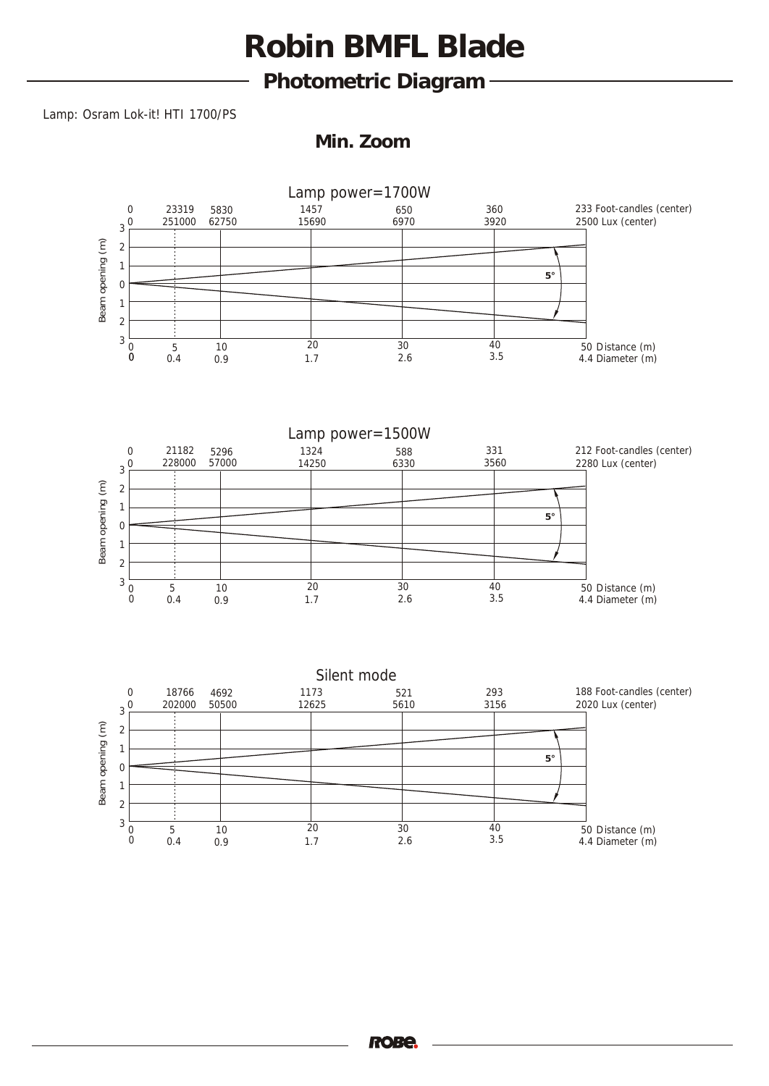**Photometric Diagram** 

#### Lamp: Osram Lok-it! HTI 1700/PS

**Min. Zoom**

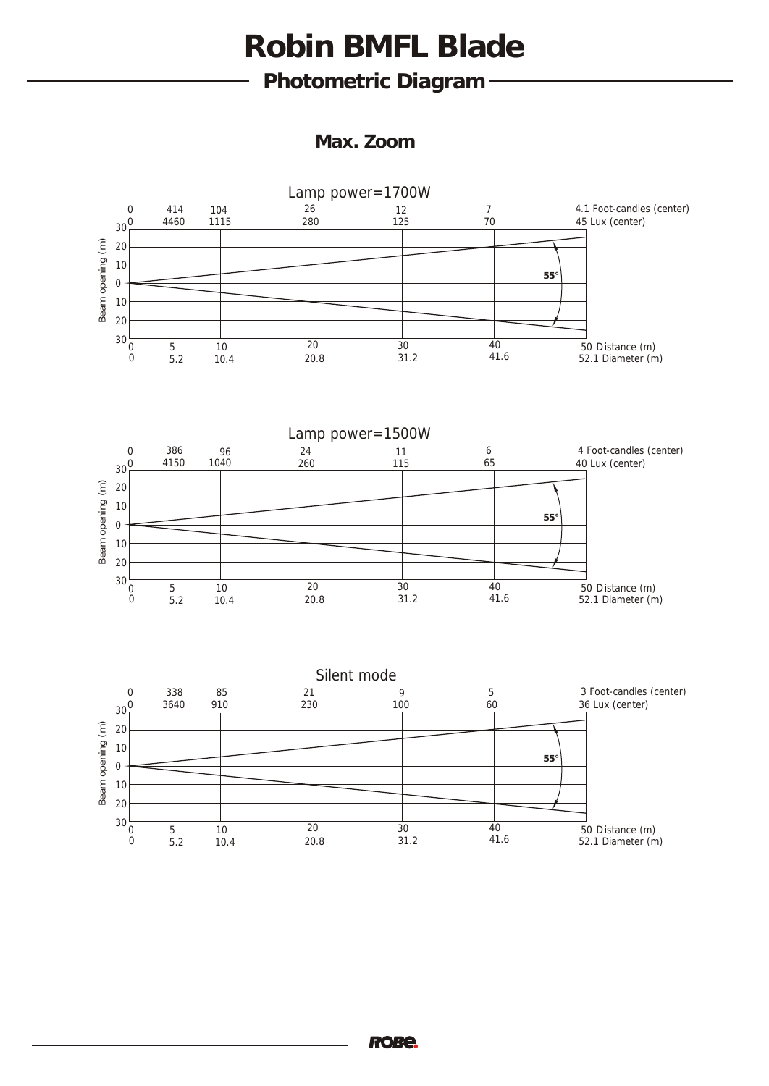**Photometric Diagram** 

**Max. Zoom**

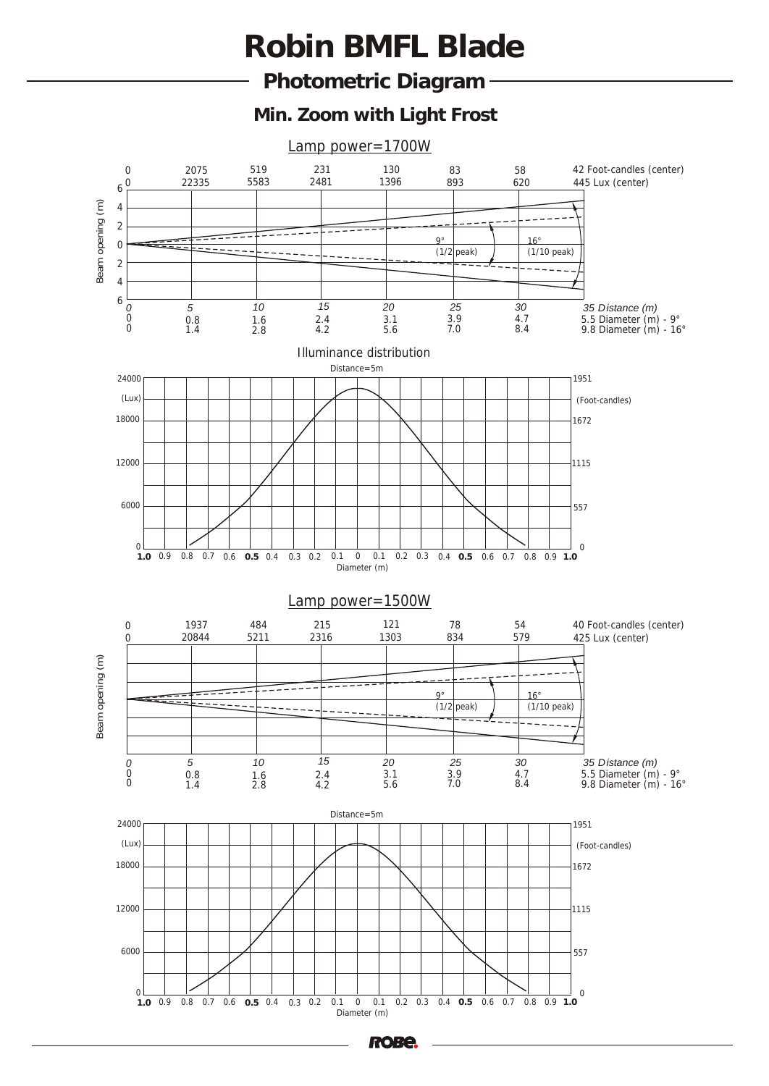**Photometric Diagram** 

**Min. Zoom with Light Frost**

Lamp power=1700W



**RO**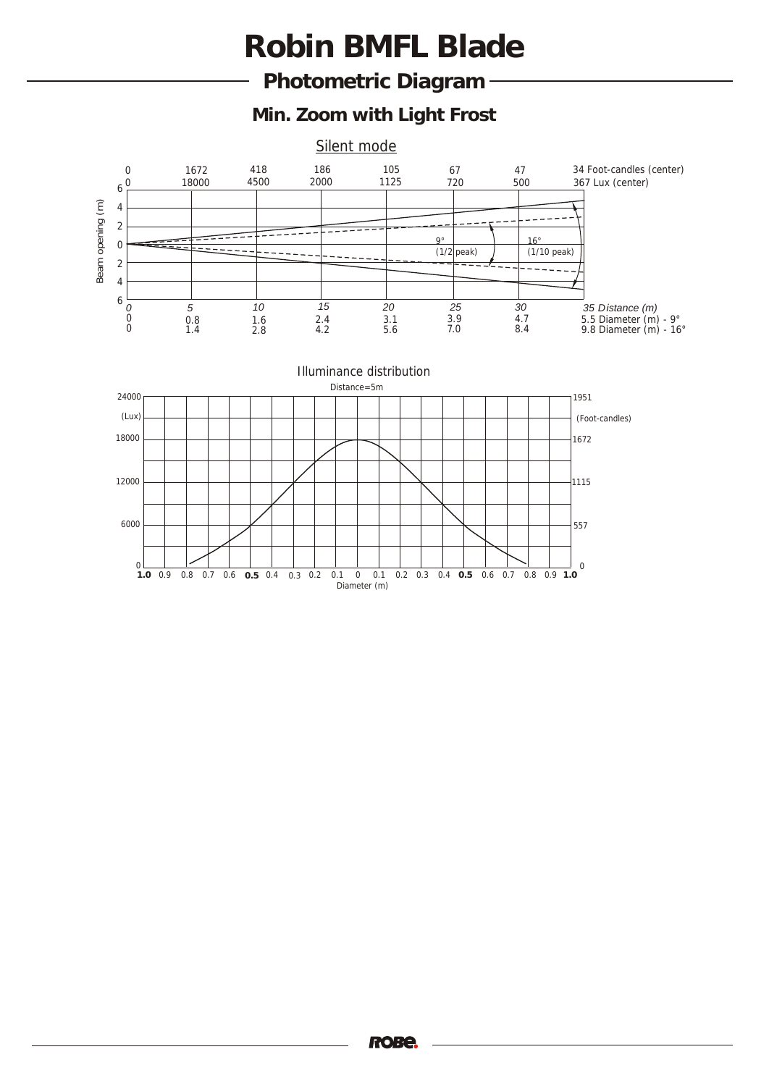**Photometric Diagram** 

**Min. Zoom with Light Frost**

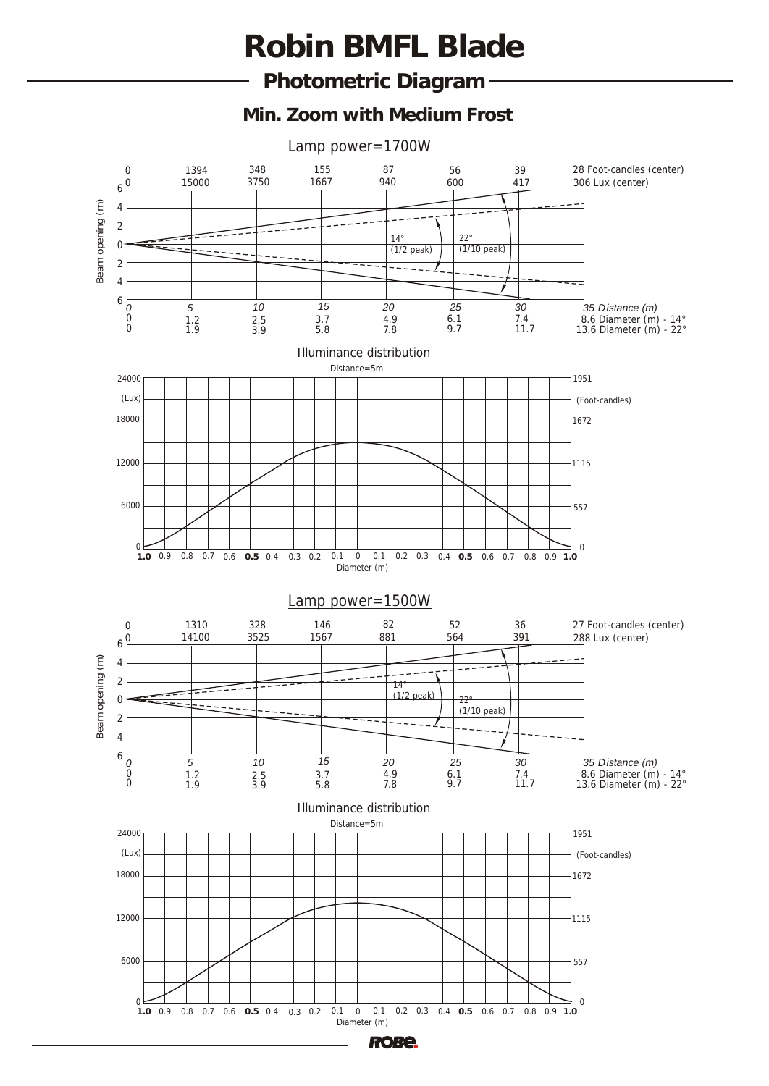**Photometric Diagram** 

**Min. Zoom with Medium Frost**

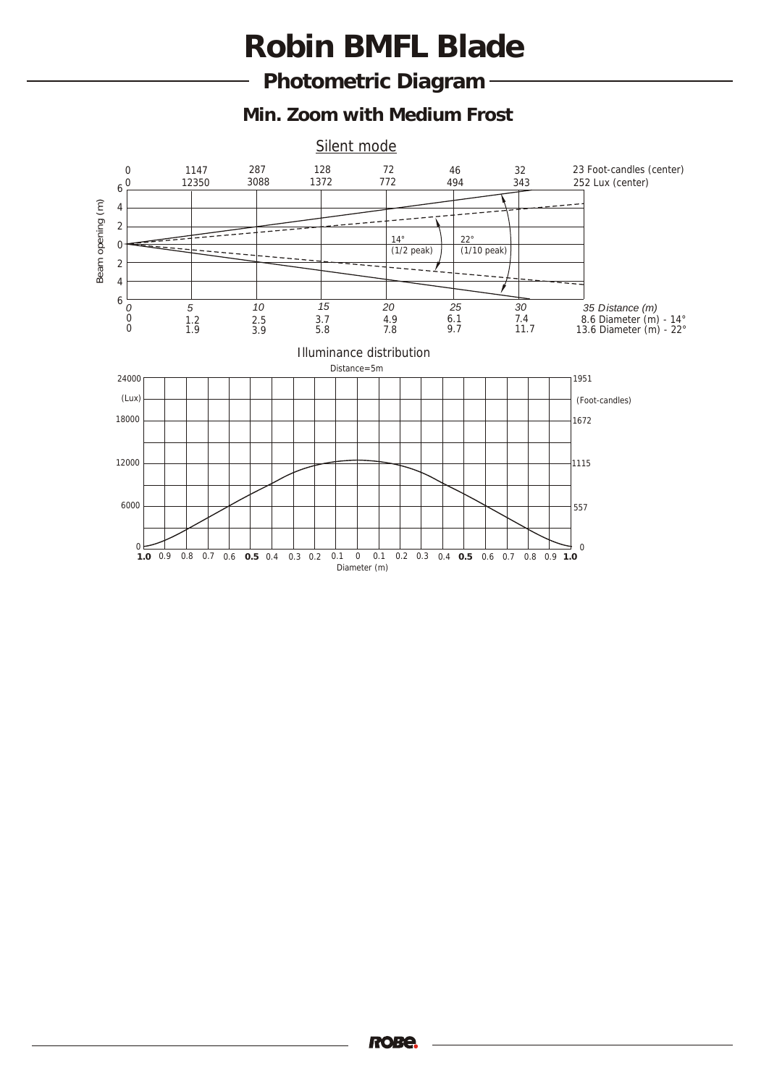**Photometric Diagram** 

**Min. Zoom with Medium Frost**

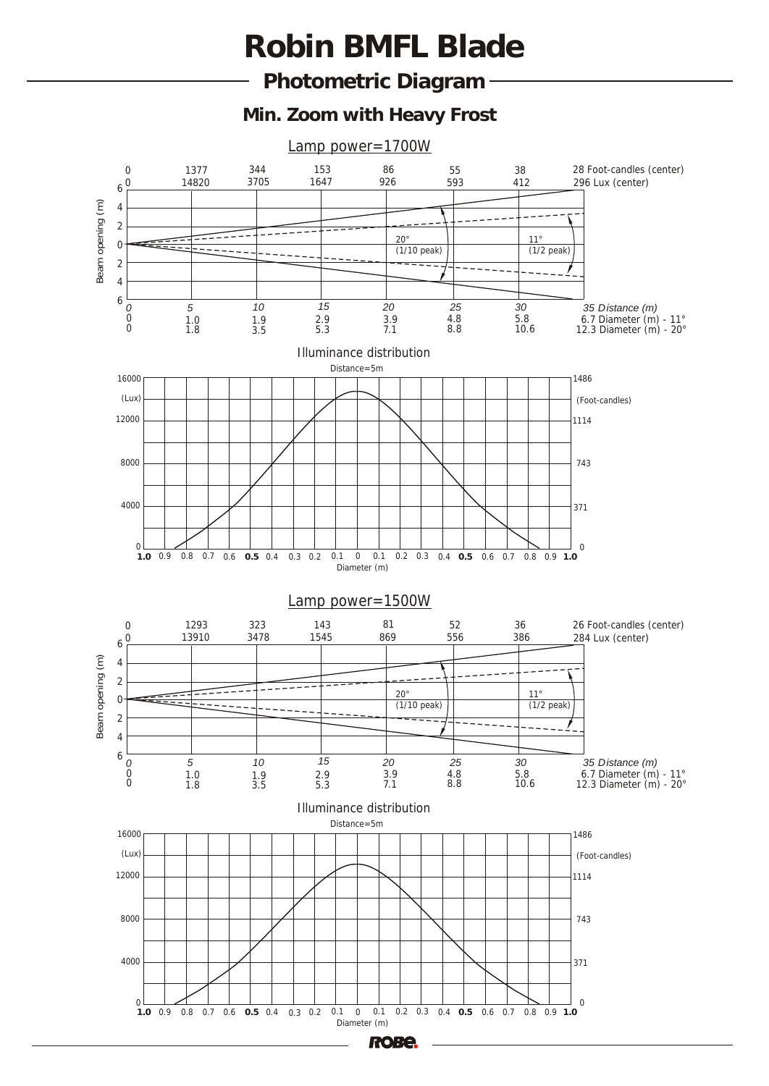**Photometric Diagram** 

**Min. Zoom with Heavy Frost**

Lamp power=1700W

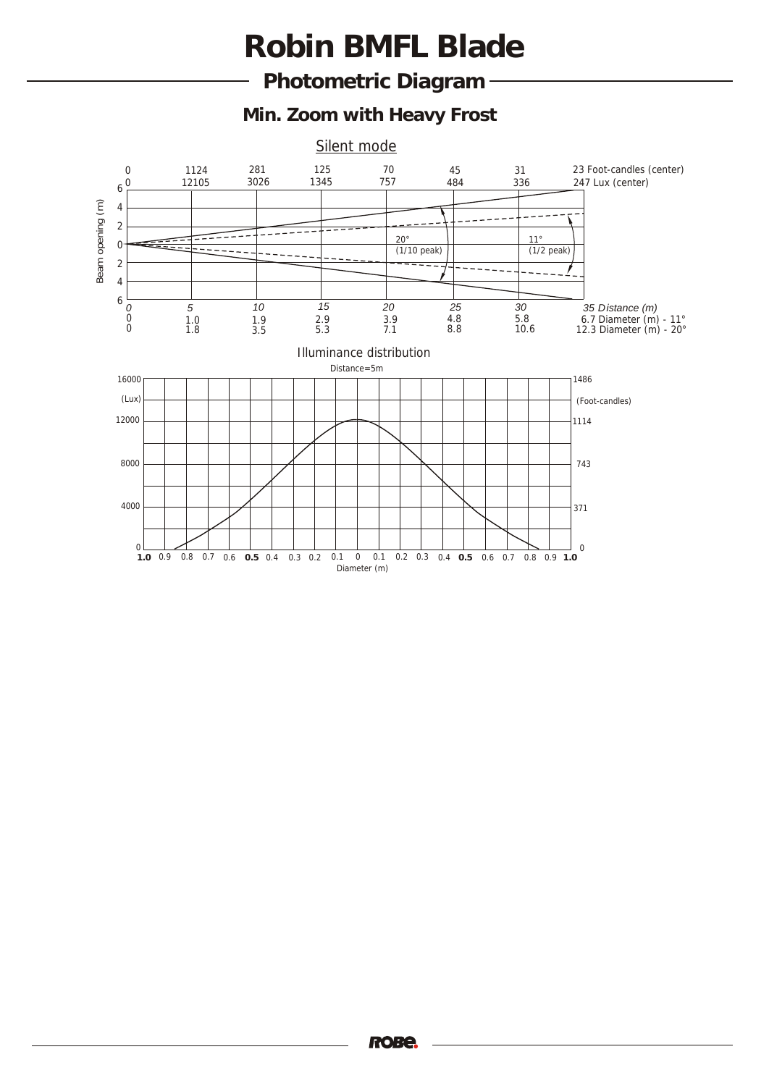**Photometric Diagram** 

**Min. Zoom with Heavy Frost**

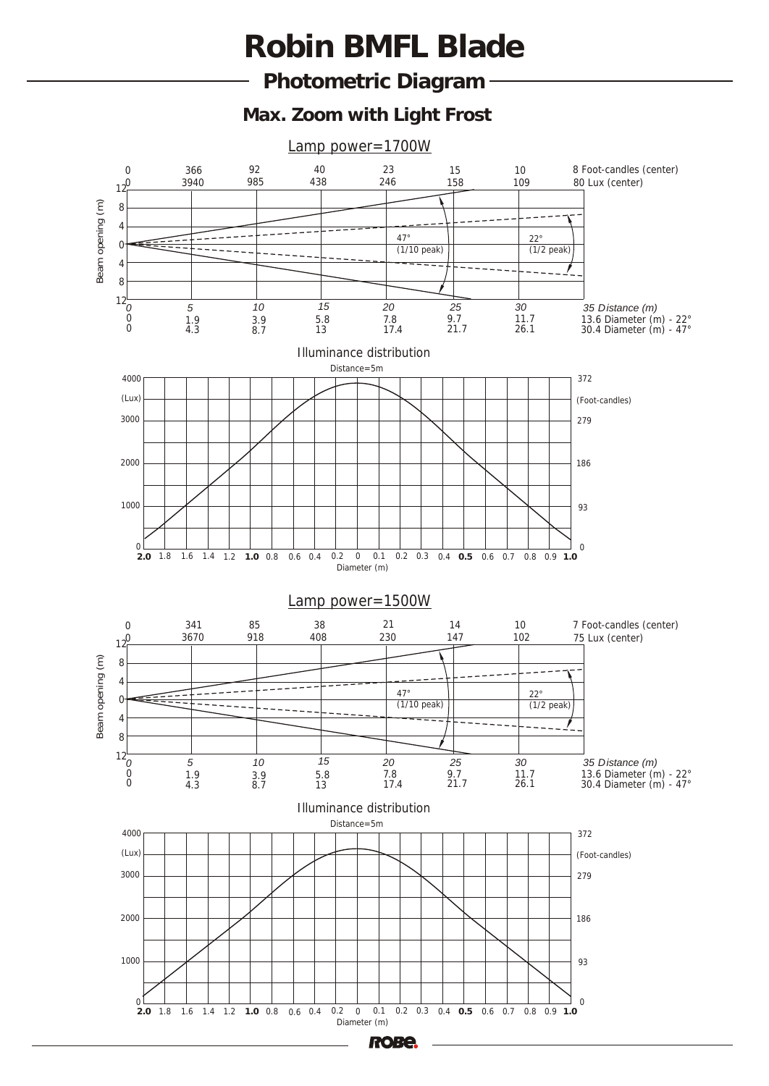**Photometric Diagram** 

**Max. Zoom with Light Frost**



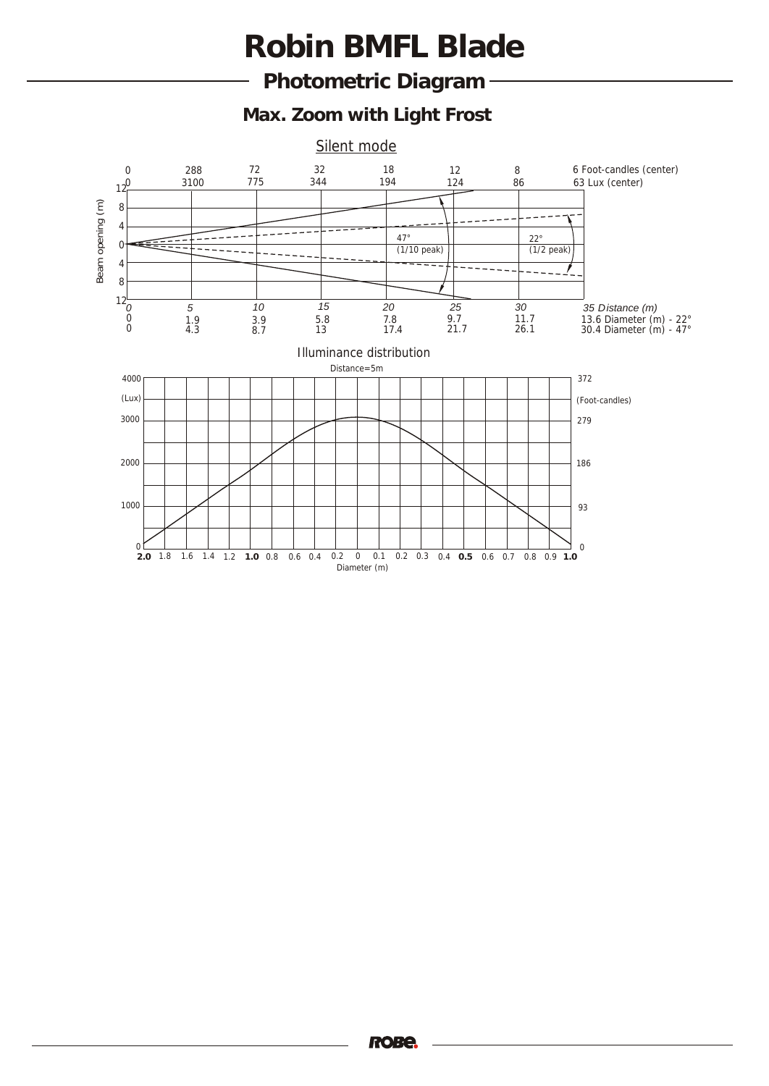**Photometric Diagram** 

**Max. Zoom with Light Frost**

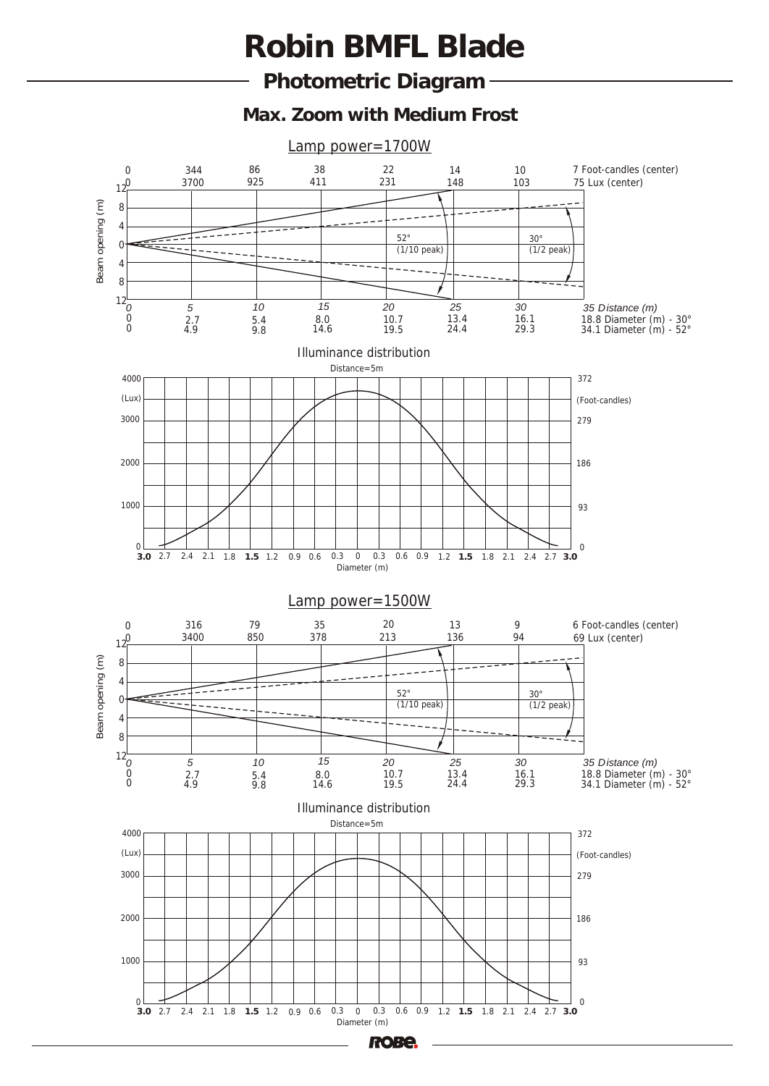**Photometric Diagram** 

**Max. Zoom with Medium Frost**



186

and  $1000$  and  $1000$  and  $1000$  and  $1000$  and  $1000$  and  $1000$  and  $1000$  and  $1000$  and  $1000$  and  $1000$  and  $1000$  and  $1000$  and  $1000$  and  $1000$  and  $1000$  and  $1000$  and  $1000$  and  $1000$  and  $1000$  and

 0 **3.0** 2.7 2.4 2.1 1.8 **1.5** 1.2 0.9 0.6 0.3 0 0.3 0.6 0.9 1.2 **1.5** 1.8 2.1 2.4 2.7 **3.0** Diameter (m)

**ROBE**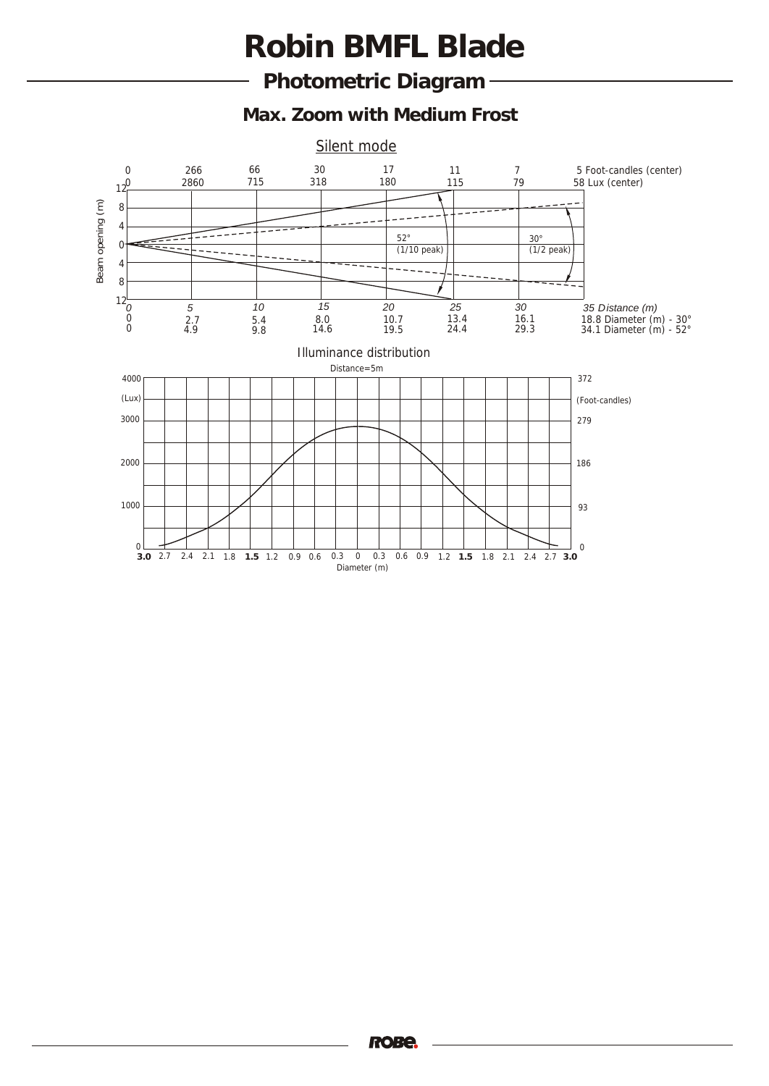**Photometric Diagram** 

**Max. Zoom with Medium Frost**

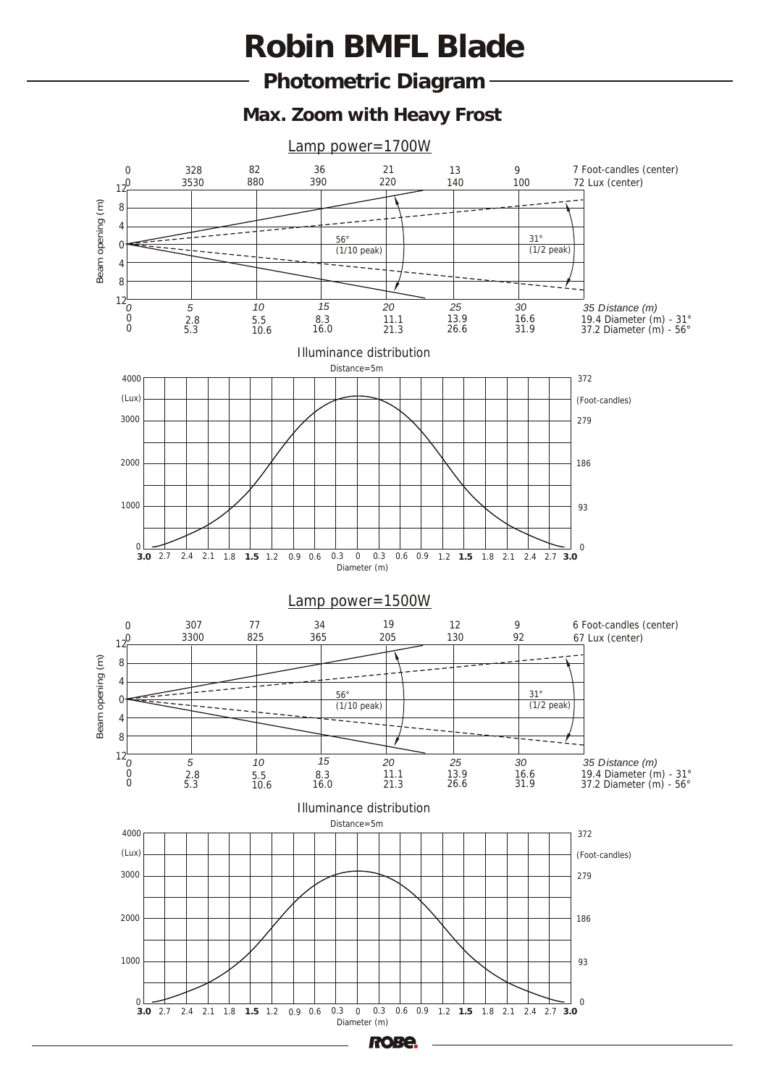**Photometric Diagram** 

**Max. Zoom with Heavy Frost**